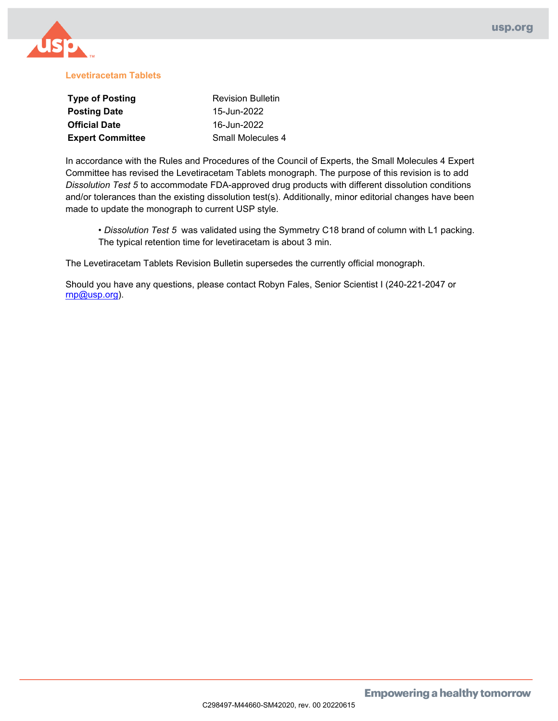

#### **Levetiracetam Tablets**

| <b>Type of Posting</b>  | <b>Revision Bulletin</b> |  |  |
|-------------------------|--------------------------|--|--|
| <b>Posting Date</b>     | 15-Jun-2022              |  |  |
| <b>Official Date</b>    | 16-Jun-2022              |  |  |
| <b>Expert Committee</b> | Small Molecules 4        |  |  |

In accordance with the Rules and Procedures of the Council of Experts, the Small Molecules 4 Expert Committee has revised the Levetiracetam Tablets monograph. The purpose of this revision is to add *Dissolution Test 5* to accommodate FDA-approved drug products with different dissolution conditions and/or tolerances than the existing dissolution test(s). Additionally, minor editorial changes have been made to update the monograph to current USP style.

• *Dissolution Test 5* was validated using the Symmetry C18 brand of column with L1 packing. The typical retention time for levetiracetam is about 3 min.

The Levetiracetam Tablets Revision Bulletin supersedes the currently official monograph.

Should you have any questions, please contact Robyn Fales, Senior Scientist I (240-221-2047 or [rnp@usp.org\)](mailto:rnp@usp.org).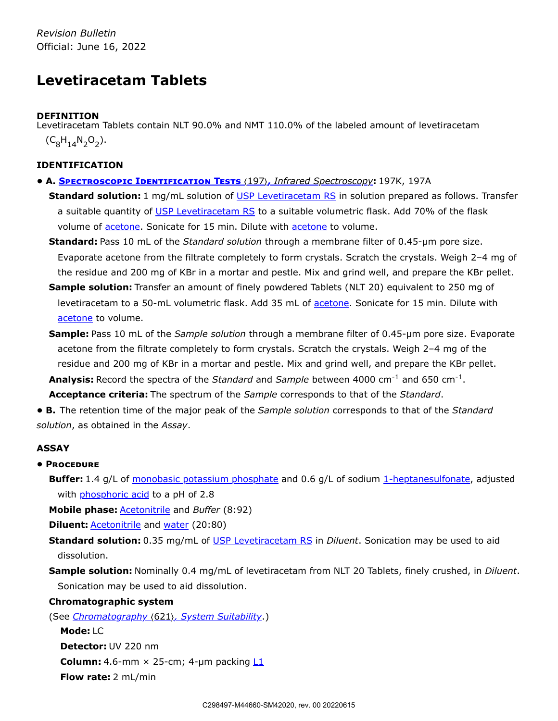*Revision Bulletin* Official: June 16, 2022

# **Levetiracetam Tablets**

## **DEFINITION**

Levetiracetam Tablets contain NLT 90.0% and NMT 110.0% of the labeled amount of levetiracetam  $(C_8H_{14}N_2O_2).$ 

## **IDENTIFICATION**

- **A. Spectroscopic Identification Tests** 〈197〉**,** *Infrared Spectroscopy***:** 197K, 197A
	- **Standard solution:** 1 mg/mL solution of USP [Levetiracetam RS](https://store.usp.org/searchresults?Ntt=1359404&searchType=simple&type=search) in solution prepared as follows. Transfer a suitable quantity of USP [Levetiracetam RS](https://store.usp.org/searchresults?Ntt=1359404&searchType=simple&type=search) to a suitable volumetric flask. Add 70% of the flask volume of acetone. Sonicate for 15 min. Dilute with acetone to volume.
	- **Standard:** Pass 10 mL of the *Standard solution* through a membrane filter of 0.45-µm pore size. Evaporate acetone from the filtrate completely to form crystals. Scratch the crystals. Weigh 2–4 mg of the residue and 200 mg of KBr in a mortar and pestle. Mix and grind well, and prepare the KBr pellet.
	- **Sample solution:** Transfer an amount of finely powdered Tablets (NLT 20) equivalent to 250 mg of levetiracetam to a 50-mL volumetric flask. Add 35 mL of acetone. Sonicate for 15 min. Dilute with acetone to volume.
	- **Sample:** Pass 10 mL of the *Sample solution* through a membrane filter of 0.45-µm pore size. Evaporate acetone from the filtrate completely to form crystals. Scratch the crystals. Weigh 2–4 mg of the residue and 200 mg of KBr in a mortar and pestle. Mix and grind well, and prepare the KBr pellet. Analysis: Record the spectra of the *Standard* and *Sample* between 4000 cm<sup>-1</sup> and 650 cm<sup>-1</sup>.

**Acceptance criteria:** The spectrum of the *Sample* corresponds to that of the *Standard*.

**• B.** The retention time of the major peak of the *Sample solution* corresponds to that of the *Standard solution*, as obtained in the *Assay*.

## **ASSAY**

### **• Procedure**

**Buffer:** 1.4 g/L of monobasic potassium phosphate and 0.6 g/L of sodium 1-heptanesulfonate, adjusted with phosphoric acid to a pH of 2.8

**Mobile phase:** Acetonitrile and *Buffer* (8:92)

**Diluent: Acetonitrile and water (20:80)** 

**Standard solution:** 0.35 mg/mL of USP [Levetiracetam RS](https://store.usp.org/searchresults?Ntt=1359404&searchType=simple&type=search) in *Diluent*. Sonication may be used to aid dissolution.

**Sample solution:** Nominally 0.4 mg/mL of levetiracetam from NLT 20 Tablets, finely crushed, in *Diluent*. Sonication may be used to aid dissolution.

### **Chromatographic system**

(See *Chromatography* 〈621〉*, System Suitability*.)

**Mode:** LC **Detector:** UV 220 nm **Column:** 4.6-mm  $\times$  25-cm; 4-µm packing  $L1$ **Flow rate:** 2 mL/min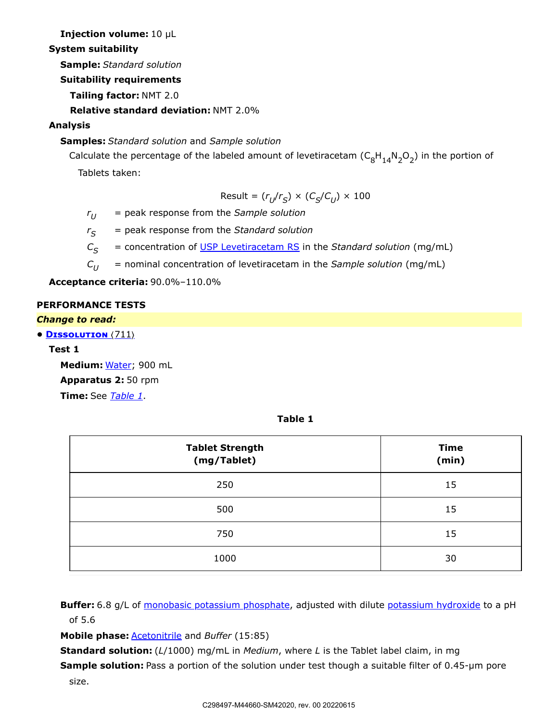**Injection volume:** 10 µL

**System suitability**

**Sample:** *Standard solution*

**Suitability requirements**

**Tailing factor:** NMT 2.0

**Relative standard deviation:** NMT 2.0%

## **Analysis**

# **Samples:** *Standard solution* and *Sample solution*

Calculate the percentage of the labeled amount of levetiracetam  $(\mathsf{C}_8\mathsf{H}_{14}\mathsf{N}_2\mathsf{O}_2)$  in the portion of

Tablets taken:

 $Result = (r_U/r_S) \times (C_S/C_U) \times 100$ 

*r* = peak response from the *Sample solution*  $r_U$ 

 $=$  peak response from the *Standard solution*  $r_S$ 

*C* = concentration of USP [Levetiracetam RS](https://store.usp.org/searchresults?Ntt=1359404&searchType=simple&type=search) in the *Standard solution* (mg/mL)  $C_{\rm S}$ 

*C* = nominal concentration of levetiracetam in the *Sample solution* (mg/mL)  $C_{II}$ 

**Acceptance criteria:** 90.0%–110.0%

## **PERFORMANCE TESTS**

## *Change to read:*

**• Dissolution** 〈711〉

## **Test 1**

**Medium:** Water; 900 mL **Apparatus 2:** 50 rpm **Time:** See *[Table 1](#page-2-0)*.

**Table 1**

<span id="page-2-0"></span>

| <b>Tablet Strength</b><br>(mg/Tablet) | <b>Time</b><br>(min) |
|---------------------------------------|----------------------|
| 250                                   | 15                   |
| 500                                   | 15                   |
| 750                                   | 15                   |
| 1000                                  | 30                   |

**Buffer:** 6.8 g/L of monobasic potassium phosphate, adjusted with dilute potassium hydroxide to a pH of 5.6

**Mobile phase:** Acetonitrile and *Buffer* (15:85)

**Standard solution:** (*L*/1000) mg/mL in *Medium*, where *L* is the Tablet label claim, in mg

**Sample solution:** Pass a portion of the solution under test though a suitable filter of 0.45-µm pore

size.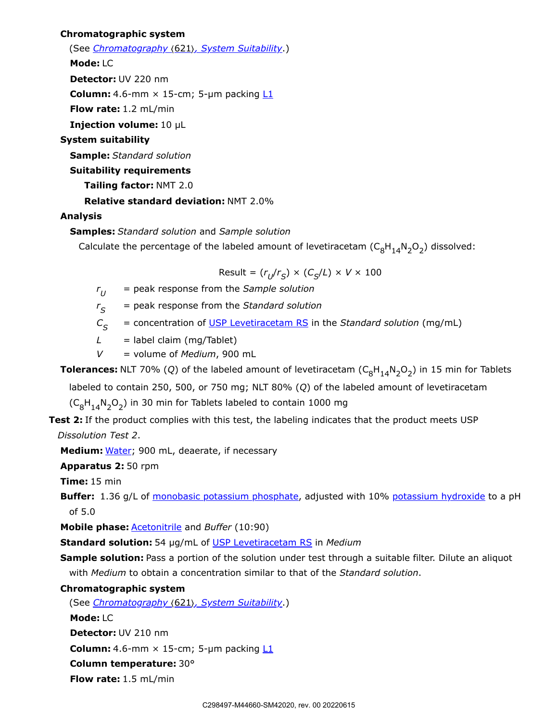#### **Chromatographic system**

(See *Chromatography* 〈621〉*, System Suitability*.)

**Mode:** LC

**Detector:** UV 220 nm

**Column:** 4.6-mm  $\times$  15-cm; 5-µm packing  $L1$ 

**Flow rate:** 1.2 mL/min

**Injection volume:** 10 µL

## **System suitability**

**Sample:** *Standard solution*

#### **Suitability requirements**

**Tailing factor:** NMT 2.0

#### **Relative standard deviation:** NMT 2.0%

#### **Analysis**

**Samples:** *Standard solution* and *Sample solution*

Calculate the percentage of the labeled amount of levetiracetam  $(C_8H_{14}N_2O_2)$  dissolved:

 $Result = (r_U/r_S) \times (C_S/L) \times V \times 100$ 

*r* = peak response from the *Sample solution*  $r_{II}$ 

 $=$  peak response from the *Standard solution*  $r_{\rm s}$ 

 $C_{\mathcal{S}}$  = concentration of USP [Levetiracetam RS](https://store.usp.org/searchresults?Ntt=1359404&searchType=simple&type=search) in the *Standard solution* (mg/mL)

 $L =$  label claim (mg/Tablet)

*V* = volume of *Medium*, 900 mL

**Tolerances:** NLT 70% (Q) of the labeled amount of levetiracetam  $(C_8H_{14}N_2O_2)$  in 15 min for Tablets

labeled to contain 250, 500, or 750 mg; NLT 80% (*Q*) of the labeled amount of levetiracetam

 $(C_8H_{14}N_2O_2)$  in 30 min for Tablets labeled to contain 1000 mg

**Test 2:** If the product complies with this test, the labeling indicates that the product meets USP

*Dissolution Test 2*.

**Medium:** Water; 900 mL, deaerate, if necessary

**Apparatus 2:** 50 rpm

**Time:** 15 min

**Buffer:** 1.36 g/L of monobasic potassium phosphate, adjusted with 10% potassium hydroxide to a pH of 5.0

**Mobile phase:** Acetonitrile and *Buffer* (10:90)

**Standard solution:** 54 µg/mL of USP [Levetiracetam RS](https://store.usp.org/searchresults?Ntt=1359404&searchType=simple&type=search) in *Medium*

**Sample solution:** Pass a portion of the solution under test through a suitable filter. Dilute an aliquot with *Medium* to obtain a concentration similar to that of the *Standard solution*.

### **Chromatographic system**

(See *Chromatography* 〈621〉*, System Suitability*.)

**Mode:** LC

**Detector:** UV 210 nm

**Column:** 4.6-mm  $\times$  15-cm; 5-µm packing  $L1$ 

**Column temperature:** 30°

**Flow rate:** 1.5 mL/min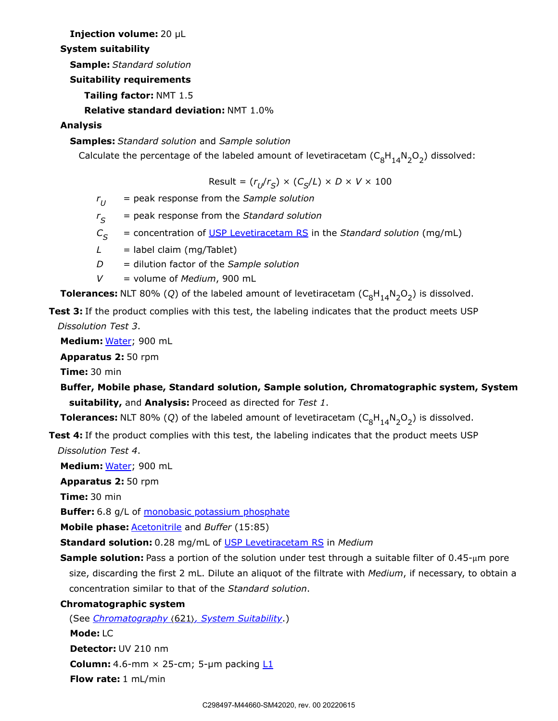**Injection volume:** 20 µL

## **System suitability**

**Sample:** *Standard solution*

**Suitability requirements**

**Tailing factor:** NMT 1.5

**Relative standard deviation:** NMT 1.0%

# **Analysis**

**Samples:** *Standard solution* and *Sample solution*

Calculate the percentage of the labeled amount of levetiracetam  $(C_8H_{14}N_2O_2)$  dissolved:

 $Result = (r_U/r_S) \times (C_S/L) \times D \times V \times 100$ 

*r* = peak response from the *Sample solution*  $r_{II}$ 

*r* = peak response from the *Standard solution*  $r_{\rm s}$ 

 $C_{\mathcal{S}}$  = concentration of USP [Levetiracetam RS](https://store.usp.org/searchresults?Ntt=1359404&searchType=simple&type=search) in the *Standard solution* (mg/mL)

 $L =$  label claim (mg/Tablet)

*D* = dilution factor of the *Sample solution*

*V* = volume of *Medium*, 900 mL

**Tolerances:** NLT 80% (Q) of the labeled amount of levetiracetam  $(C_8H_{14}N_2O_2)$  is dissolved.

**Test 3:** If the product complies with this test, the labeling indicates that the product meets USP *Dissolution Test 3*.

**Medium:** Water; 900 mL

**Apparatus 2:** 50 rpm

**Time:** 30 min

```
Buffer, Mobile phase, Standard solution, Sample solution, Chromatographic system, System
suitability, and Analysis: Proceed as directed for Test 1.
```
**Tolerances:** NLT 80% (Q) of the labeled amount of levetiracetam  $(C_8H_{14}N_2O_2)$  is dissolved.

**Test 4:** If the product complies with this test, the labeling indicates that the product meets USP *Dissolution Test 4*.

**Medium:** Water; 900 mL

**Apparatus 2:** 50 rpm

**Time:** 30 min

**Buffer:** 6.8 g/L of monobasic potassium phosphate

**Mobile phase:** Acetonitrile and *Buffer* (15:85)

**Standard solution:** 0.28 mg/mL of USP [Levetiracetam RS](https://store.usp.org/searchresults?Ntt=1359404&searchType=simple&type=search) in *Medium*

**Sample solution:** Pass a portion of the solution under test through a suitable filter of 0.45-μm pore size, discarding the first 2 mL. Dilute an aliquot of the filtrate with *Medium*, if necessary, to obtain a concentration similar to that of the *Standard solution*.

**Chromatographic system**

(See *Chromatography* 〈621〉*, System Suitability*.) **Mode:** LC **Detector:** UV 210 nm **Column:** 4.6-mm  $\times$  25-cm; 5-µm packing  $L1$ **Flow rate:** 1 mL/min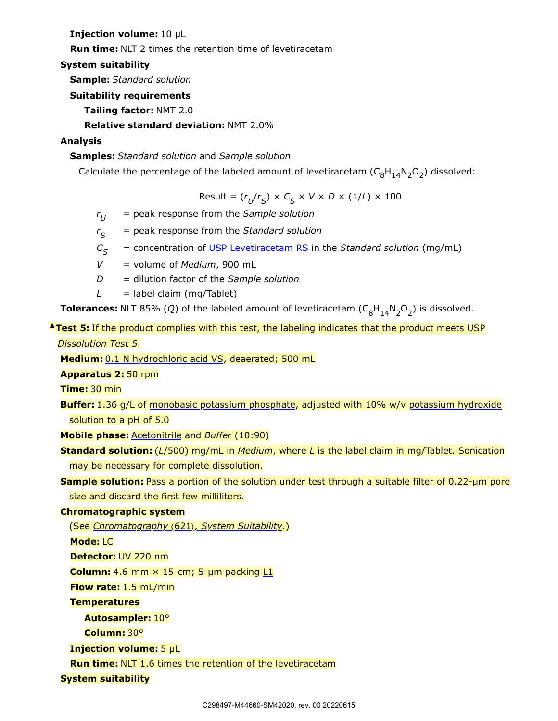**Injection volume:** 10 µL

**Run time:** NLT 2 times the retention time of levetiracetam

### **System suitability**

**Sample:** *Standard solution*

**Suitability requirements**

**Tailing factor:** NMT 2.0

**Relative standard deviation:** NMT 2.0%

## **Analysis**

**Samples:** *Standard solution* and *Sample solution*

Calculate the percentage of the labeled amount of levetiracetam  $(\mathsf{C}_8\mathsf{H}_{14}\mathsf{N}_2\mathsf{O}_2)$  dissolved:

 $Result = (r_U/r_S) \times C_S \times V \times D \times (1/L) \times 100$ 

- *r* = peak response from the *Sample solution*  $r_{II}$
- $=$  peak response from the *Standard solution*  $r_{\rm S}$
- *C* = concentration of USP [Levetiracetam RS](https://store.usp.org/searchresults?Ntt=1359404&searchType=simple&type=search) in the *Standard solution* (mg/mL)  $C_{\varsigma}$
- *V* = volume of *Medium*, 900 mL
- *D* = dilution factor of the *Sample solution*
- $L =$  label claim (mg/Tablet)

**Tolerances:** NLT 85% (Q) of the labeled amount of levetiracetam  $(C_8H_{14}N_2O_2)$  is dissolved.

# **▲Test 5:** If the product complies with this test, the labeling indicates that the product meets USP *Dissolution Test 5*.

**Medium:** 0.1 N hydrochloric acid VS, deaerated; 500 mL

**Apparatus 2:** 50 rpm

**Time:** 30 min

**Buffer:** 1.36 g/L of monobasic potassium phosphate, adjusted with 10% w/v potassium hydroxide solution to a pH of 5.0

**Mobile phase:** Acetonitrile and *Buffer* (10:90)

**Standard solution:** (*L*/500) mg/mL in *Medium*, where *L* is the label claim in mg/Tablet. Sonication may be necessary for complete dissolution.

**Sample solution:** Pass a portion of the solution under test through a suitable filter of 0.22-um pore size and discard the first few milliliters.

### **Chromatographic system**

(See *Chromatography* 〈621〉*, System Suitability*.)

**Mode:** LC

**Detector:** UV 220 nm

**Column:** 4.6-mm  $\times$  15-cm; 5-µm packing  $L1$ 

**Flow rate:** 1.5 mL/min

**Temperatures**

**Autosampler:** 10°

**Column:** 30°

**Injection volume:** 5 µL

**Run time:** NLT 1.6 times the retention of the levetiracetam

**System suitability**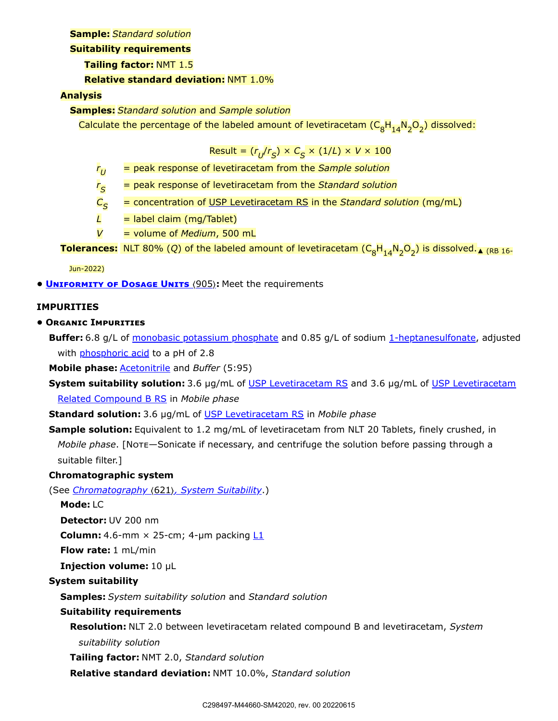#### **Sample:** *Standard solution*

#### **Suitability requirements**

### **Tailing factor:** NMT 1.5

## **Relative standard deviation:** NMT 1.0%

## **Analysis**

**Samples:** *Standard solution* and *Sample solution*

Calculate the percentage of the labeled amount of levetiracetam (C<sub>8</sub>H<sub>14</sub>N<sub>2</sub>O<sub>2</sub>) dissolved:

$$
Result = (r_{U}/r_{S}) \times C_{S} \times (1/L) \times V \times 100
$$

- *r* = peak response of levetiracetam from the *Sample solution*  $r_{U}$
- *r* = peak response of levetiracetam from the *Standard solution*  $r_{\rm S}$
- $=$  concentration of USP [Levetiracetam RS](https://store.usp.org/searchresults?Ntt=1359404&searchType=simple&type=search) in the *Standard solution* (mg/mL)  $C_{\leq}$
- $L =$  label claim (mg/Tablet)
- *V* = volume of *Medium*, 500 mL

**Tolerances:** NLT 80% (Q) of the labeled amount of levetiracetam ( $C_8H_{14}N_2O_2$ ) is dissolved.<sub>A (RB 16-</sub>

Jun-2022)

**• Uniformity of Dosage Units** 〈905〉**:** Meet the requirements

## **IMPURITIES**

## **• Organic Impurities**

**Buffer:** 6.8 g/L of monobasic potassium phosphate and 0.85 g/L of sodium 1-heptanesulfonate, adjusted with **phosphoric acid** to a pH of 2.8

**Mobile phase:** Acetonitrile and *Buffer* (5:95)

**System suitability solution:** 3.6 µg/mL of USP [Levetiracetam RS](https://store.usp.org/searchresults?Ntt=1359404&searchType=simple&type=search) [and 3.6 µg/mL of USP](https://store.usp.org/searchresults?Ntt=1359437&searchType=simple&type=search) Levetiracetam Related Compound B RS in *Mobile phase*

**Standard solution:** 3.6 µg/mL of USP [Levetiracetam RS](https://store.usp.org/searchresults?Ntt=1359404&searchType=simple&type=search) in *Mobile phase*

**Sample solution:** Equivalent to 1.2 mg/mL of levetiracetam from NLT 20 Tablets, finely crushed, in *Mobile phase*. [Note—Sonicate if necessary, and centrifuge the solution before passing through a suitable filter.]

## **Chromatographic system**

(See *Chromatography* 〈621〉*, System Suitability*.)

**Mode:** LC

**Detector:** UV 200 nm

**Column:** 4.6-mm  $\times$  25-cm; 4-µm packing  $L1$ 

**Flow rate:** 1 mL/min

**Injection volume:** 10 µL

## **System suitability**

**Samples:** *System suitability solution* and *Standard solution*

## **Suitability requirements**

**Resolution:** NLT 2.0 between levetiracetam related compound B and levetiracetam, *System*

*suitability solution*

**Tailing factor:** NMT 2.0, *Standard solution*

**Relative standard deviation:** NMT 10.0%, *Standard solution*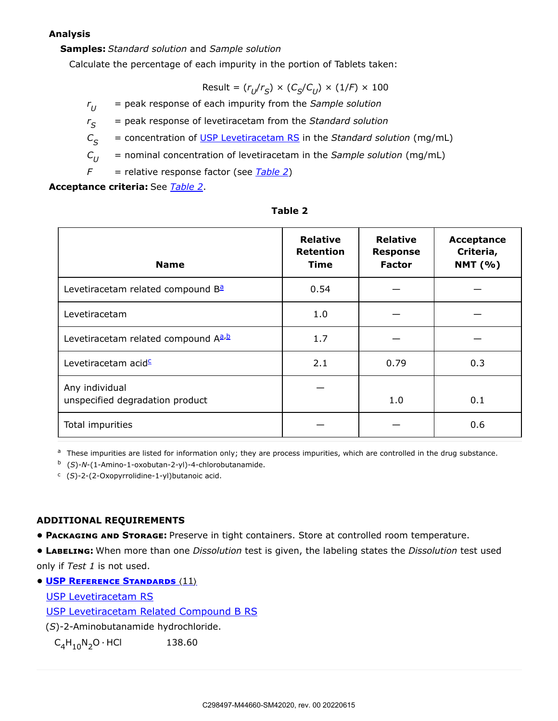#### **Analysis**

#### **Samples:** *Standard solution* and *Sample solution*

Calculate the percentage of each impurity in the portion of Tablets taken:

 $Result = (r_U/r_S) \times (C_S/C_U) \times (1/F) \times 100$ 

*r* = peak response of each impurity from the *Sample solution*  $r_U$ 

*r* = peak response of levetiracetam from the *Standard solution*  $r_{\rm s}$ 

*C* = concentration of USP [Levetiracetam RS](https://store.usp.org/searchresults?Ntt=1359404&searchType=simple&type=search) in the *Standard solution* (mg/mL)  $C_{\varsigma}$ 

*C* = nominal concentration of levetiracetam in the *Sample solution* (mg/mL)  $C_{II}$ 

*F* = relative response factor (see *[Table 2](#page-7-0)*)

**Acceptance criteria:** See *[Table 2](#page-7-0)*.

<span id="page-7-0"></span>

| <b>Name</b>                                       | <b>Relative</b><br><b>Retention</b><br><b>Time</b> | <b>Relative</b><br><b>Response</b><br><b>Factor</b> | Acceptance<br>Criteria,<br><b>NMT</b> (%) |
|---------------------------------------------------|----------------------------------------------------|-----------------------------------------------------|-------------------------------------------|
| Levetiracetam related compound B <sup>a</sup>     | 0.54                                               |                                                     |                                           |
| Levetiracetam                                     | 1.0                                                |                                                     |                                           |
| Levetiracetam related compound A <sup>a, b</sup>  | 1.7                                                |                                                     |                                           |
| Levetiracetam acid <sup>c</sup>                   | 2.1                                                | 0.79                                                | 0.3                                       |
| Any individual<br>unspecified degradation product |                                                    | 1.0                                                 | 0.1                                       |
| Total impurities                                  |                                                    |                                                     | 0.6                                       |

#### **Table 2**

<span id="page-7-1"></span><sup>a</sup> These impurities are listed for information only; they are process impurities, which are controlled in the drug substance.

<span id="page-7-2"></span><sup>b</sup> (S)-N-(1-Amino-1-oxobutan-2-yl)-4-chlorobutanamide.

<span id="page-7-3"></span><sup>c</sup> (S)-2-(2-Oxopyrrolidine-1-yl)butanoic acid.

## **ADDITIONAL REQUIREMENTS**

**• Packaging and Storage:** Preserve in tight containers. Store at controlled room temperature.

**• Labeling:** When more than one *Dissolution* test is given, the labeling states the *Dissolution* test used only if *Test 1* is not used.

**• USP Reference Standards** 〈11〉

USP [Levetiracetam RS](https://store.usp.org/searchresults?Ntt=1359404&searchType=simple&type=search)

USP [Levetiracetam Related Compound B RS](https://store.usp.org/searchresults?Ntt=1359437&searchType=simple&type=search)

(*S*)-2-Aminobutanamide hydrochloride.

 $C_4H_{10}N_2O \cdot HCl$  138.60